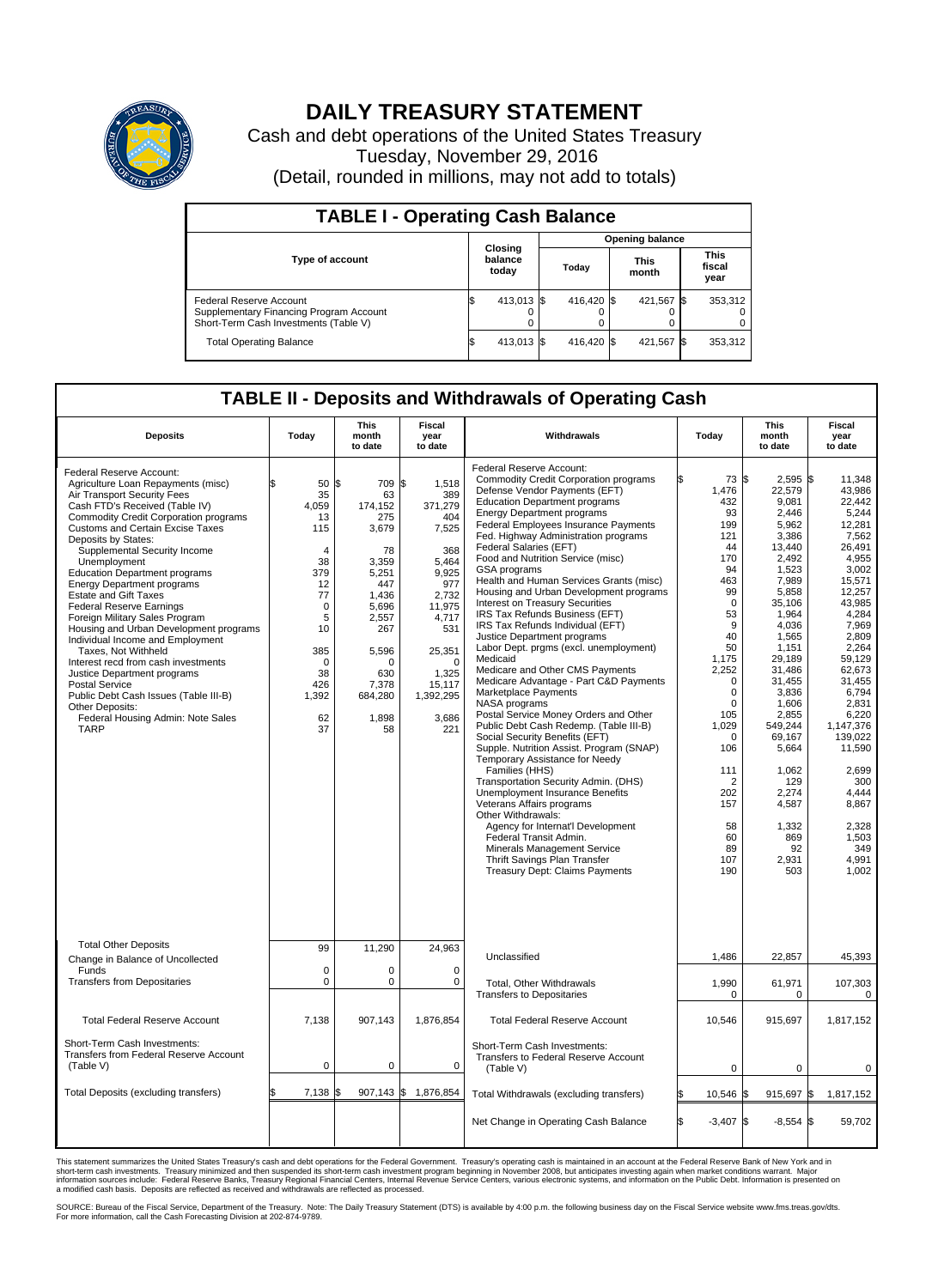

## **DAILY TREASURY STATEMENT**

Cash and debt operations of the United States Treasury Tuesday, November 29, 2016 (Detail, rounded in millions, may not add to totals)

| <b>TABLE I - Operating Cash Balance</b>                                                                     |                             |            |                        |            |                      |            |      |                               |  |  |
|-------------------------------------------------------------------------------------------------------------|-----------------------------|------------|------------------------|------------|----------------------|------------|------|-------------------------------|--|--|
|                                                                                                             | Closing<br>balance<br>today |            | <b>Opening balance</b> |            |                      |            |      |                               |  |  |
| Type of account                                                                                             |                             |            | Today                  |            | <b>This</b><br>month |            |      | <b>This</b><br>fiscal<br>year |  |  |
| Federal Reserve Account<br>Supplementary Financing Program Account<br>Short-Term Cash Investments (Table V) |                             | 413,013 \$ |                        | 416.420 \$ |                      | 421.567 \$ |      | 353,312                       |  |  |
| <b>Total Operating Balance</b>                                                                              | ß.                          | 413,013 \$ |                        | 416.420 \$ |                      | 421,567    | - 15 | 353,312                       |  |  |

## **TABLE II - Deposits and Withdrawals of Operating Cash**

| <b>Deposits</b>                                                                                                                                                                                                                                                                                                                                                                                                                                                                                                                                                                                                                                                                                                                                                                                  | Today                                                                                                                                                    | <b>This</b><br>month<br>to date                                                                                                                                            | <b>Fiscal</b><br>year<br>to date                                                                                                                                                       | Withdrawals                                                                                                                                                                                                                                                                                                                                                                                                                                                                                                                                                                                                                                                                                                                                                                                                                                                                                                                                                                                                                                                                                                                                                                                                                                                                                     | Today                                                                                                                                                                                                                                                                   | <b>This</b><br>month<br>to date                                                                                                                                                                                                                                                                                     | Fiscal<br>year<br>to date                                                                                                                                                                                                                                                                                                    |
|--------------------------------------------------------------------------------------------------------------------------------------------------------------------------------------------------------------------------------------------------------------------------------------------------------------------------------------------------------------------------------------------------------------------------------------------------------------------------------------------------------------------------------------------------------------------------------------------------------------------------------------------------------------------------------------------------------------------------------------------------------------------------------------------------|----------------------------------------------------------------------------------------------------------------------------------------------------------|----------------------------------------------------------------------------------------------------------------------------------------------------------------------------|----------------------------------------------------------------------------------------------------------------------------------------------------------------------------------------|-------------------------------------------------------------------------------------------------------------------------------------------------------------------------------------------------------------------------------------------------------------------------------------------------------------------------------------------------------------------------------------------------------------------------------------------------------------------------------------------------------------------------------------------------------------------------------------------------------------------------------------------------------------------------------------------------------------------------------------------------------------------------------------------------------------------------------------------------------------------------------------------------------------------------------------------------------------------------------------------------------------------------------------------------------------------------------------------------------------------------------------------------------------------------------------------------------------------------------------------------------------------------------------------------|-------------------------------------------------------------------------------------------------------------------------------------------------------------------------------------------------------------------------------------------------------------------------|---------------------------------------------------------------------------------------------------------------------------------------------------------------------------------------------------------------------------------------------------------------------------------------------------------------------|------------------------------------------------------------------------------------------------------------------------------------------------------------------------------------------------------------------------------------------------------------------------------------------------------------------------------|
| Federal Reserve Account:<br>Agriculture Loan Repayments (misc)<br>Air Transport Security Fees<br>Cash FTD's Received (Table IV)<br><b>Commodity Credit Corporation programs</b><br>Customs and Certain Excise Taxes<br>Deposits by States:<br>Supplemental Security Income<br>Unemployment<br><b>Education Department programs</b><br><b>Energy Department programs</b><br><b>Estate and Gift Taxes</b><br><b>Federal Reserve Earnings</b><br>Foreign Military Sales Program<br>Housing and Urban Development programs<br>Individual Income and Employment<br>Taxes, Not Withheld<br>Interest recd from cash investments<br>Justice Department programs<br><b>Postal Service</b><br>Public Debt Cash Issues (Table III-B)<br>Other Deposits:<br>Federal Housing Admin: Note Sales<br><b>TARP</b> | 50<br>35<br>4,059<br>13<br>115<br>$\overline{4}$<br>38<br>379<br>12<br>77<br>$\mathbf 0$<br>5<br>10<br>385<br>$\Omega$<br>38<br>426<br>1,392<br>62<br>37 | \$<br>709<br>63<br>174,152<br>275<br>3,679<br>78<br>3,359<br>5,251<br>447<br>1.436<br>5,696<br>2,557<br>267<br>5,596<br>$\Omega$<br>630<br>7,378<br>684,280<br>1,898<br>58 | \$<br>1,518<br>389<br>371,279<br>404<br>7,525<br>368<br>5,464<br>9,925<br>977<br>2.732<br>11,975<br>4,717<br>531<br>25,351<br>$\Omega$<br>1,325<br>15,117<br>1,392,295<br>3,686<br>221 | Federal Reserve Account:<br><b>Commodity Credit Corporation programs</b><br>Defense Vendor Payments (EFT)<br><b>Education Department programs</b><br><b>Energy Department programs</b><br><b>Federal Employees Insurance Payments</b><br>Fed. Highway Administration programs<br>Federal Salaries (EFT)<br>Food and Nutrition Service (misc)<br>GSA programs<br>Health and Human Services Grants (misc)<br>Housing and Urban Development programs<br>Interest on Treasury Securities<br>IRS Tax Refunds Business (EFT)<br>IRS Tax Refunds Individual (EFT)<br>Justice Department programs<br>Labor Dept. prgms (excl. unemployment)<br>Medicaid<br>Medicare and Other CMS Payments<br>Medicare Advantage - Part C&D Payments<br>Marketplace Payments<br>NASA programs<br>Postal Service Money Orders and Other<br>Public Debt Cash Redemp. (Table III-B)<br>Social Security Benefits (EFT)<br>Supple. Nutrition Assist. Program (SNAP)<br>Temporary Assistance for Needy<br>Families (HHS)<br>Transportation Security Admin. (DHS)<br>Unemployment Insurance Benefits<br>Veterans Affairs programs<br>Other Withdrawals:<br>Agency for Internat'l Development<br>Federal Transit Admin.<br>Minerals Management Service<br>Thrift Savings Plan Transfer<br><b>Treasury Dept: Claims Payments</b> | 73 \$<br>1,476<br>432<br>93<br>199<br>121<br>44<br>170<br>94<br>463<br>99<br>$\mathbf 0$<br>53<br>9<br>40<br>50<br>1,175<br>2,252<br>$\mathbf 0$<br>0<br>$\mathbf 0$<br>105<br>1,029<br>0<br>106<br>111<br>$\overline{2}$<br>202<br>157<br>58<br>60<br>89<br>107<br>190 | $2,595$ \$<br>22,579<br>9,081<br>2,446<br>5.962<br>3,386<br>13,440<br>2,492<br>1,523<br>7,989<br>5,858<br>35,106<br>1,964<br>4,036<br>1,565<br>1.151<br>29,189<br>31,486<br>31,455<br>3,836<br>1.606<br>2,855<br>549,244<br>69,167<br>5,664<br>1,062<br>129<br>2,274<br>4,587<br>1,332<br>869<br>92<br>2,931<br>503 | 11.348<br>43.986<br>22.442<br>5,244<br>12.281<br>7,562<br>26.491<br>4,955<br>3.002<br>15,571<br>12,257<br>43.985<br>4,284<br>7,969<br>2,809<br>2,264<br>59,129<br>62,673<br>31.455<br>6,794<br>2.831<br>6,220<br>1,147,376<br>139,022<br>11,590<br>2,699<br>300<br>4,444<br>8,867<br>2,328<br>1,503<br>349<br>4,991<br>1.002 |
| <b>Total Other Deposits</b><br>Change in Balance of Uncollected                                                                                                                                                                                                                                                                                                                                                                                                                                                                                                                                                                                                                                                                                                                                  | 99                                                                                                                                                       | 11,290                                                                                                                                                                     | 24,963                                                                                                                                                                                 | Unclassified                                                                                                                                                                                                                                                                                                                                                                                                                                                                                                                                                                                                                                                                                                                                                                                                                                                                                                                                                                                                                                                                                                                                                                                                                                                                                    | 1,486                                                                                                                                                                                                                                                                   | 22,857                                                                                                                                                                                                                                                                                                              | 45,393                                                                                                                                                                                                                                                                                                                       |
| Funds<br><b>Transfers from Depositaries</b>                                                                                                                                                                                                                                                                                                                                                                                                                                                                                                                                                                                                                                                                                                                                                      | $\mathbf 0$<br>$\mathbf 0$                                                                                                                               | 0<br>0                                                                                                                                                                     | $\mathbf 0$<br>$\mathbf 0$                                                                                                                                                             | Total, Other Withdrawals<br><b>Transfers to Depositaries</b>                                                                                                                                                                                                                                                                                                                                                                                                                                                                                                                                                                                                                                                                                                                                                                                                                                                                                                                                                                                                                                                                                                                                                                                                                                    | 1,990<br>0                                                                                                                                                                                                                                                              | 61,971<br>0                                                                                                                                                                                                                                                                                                         | 107,303<br>0                                                                                                                                                                                                                                                                                                                 |
| <b>Total Federal Reserve Account</b>                                                                                                                                                                                                                                                                                                                                                                                                                                                                                                                                                                                                                                                                                                                                                             | 7.138                                                                                                                                                    | 907.143                                                                                                                                                                    | 1,876,854                                                                                                                                                                              | <b>Total Federal Reserve Account</b>                                                                                                                                                                                                                                                                                                                                                                                                                                                                                                                                                                                                                                                                                                                                                                                                                                                                                                                                                                                                                                                                                                                                                                                                                                                            | 10.546                                                                                                                                                                                                                                                                  | 915.697                                                                                                                                                                                                                                                                                                             | 1,817,152                                                                                                                                                                                                                                                                                                                    |
| Short-Term Cash Investments:<br><b>Transfers from Federal Reserve Account</b><br>(Table V)                                                                                                                                                                                                                                                                                                                                                                                                                                                                                                                                                                                                                                                                                                       | $\pmb{0}$                                                                                                                                                | 0                                                                                                                                                                          | $\mathbf 0$                                                                                                                                                                            | Short-Term Cash Investments:<br>Transfers to Federal Reserve Account<br>(Table V)                                                                                                                                                                                                                                                                                                                                                                                                                                                                                                                                                                                                                                                                                                                                                                                                                                                                                                                                                                                                                                                                                                                                                                                                               | 0                                                                                                                                                                                                                                                                       | $\mathbf 0$                                                                                                                                                                                                                                                                                                         | 0                                                                                                                                                                                                                                                                                                                            |
| Total Deposits (excluding transfers)                                                                                                                                                                                                                                                                                                                                                                                                                                                                                                                                                                                                                                                                                                                                                             | 7,138                                                                                                                                                    | $907,143$ \$                                                                                                                                                               | 1,876,854                                                                                                                                                                              | Total Withdrawals (excluding transfers)                                                                                                                                                                                                                                                                                                                                                                                                                                                                                                                                                                                                                                                                                                                                                                                                                                                                                                                                                                                                                                                                                                                                                                                                                                                         | $10,546$ \$                                                                                                                                                                                                                                                             | 915,697 \$                                                                                                                                                                                                                                                                                                          | 1,817,152                                                                                                                                                                                                                                                                                                                    |
|                                                                                                                                                                                                                                                                                                                                                                                                                                                                                                                                                                                                                                                                                                                                                                                                  |                                                                                                                                                          |                                                                                                                                                                            |                                                                                                                                                                                        | Net Change in Operating Cash Balance                                                                                                                                                                                                                                                                                                                                                                                                                                                                                                                                                                                                                                                                                                                                                                                                                                                                                                                                                                                                                                                                                                                                                                                                                                                            | l\$<br>$-3,407$ \$                                                                                                                                                                                                                                                      | $-8,554$ \$                                                                                                                                                                                                                                                                                                         | 59,702                                                                                                                                                                                                                                                                                                                       |

This statement summarizes the United States Treasury's cash and debt operations for the Federal Government. Treasury's operating cash is maintained in an account at the Federal Reserve Bank of New York and in<br>short-term ca

SOURCE: Bureau of the Fiscal Service, Department of the Treasury. Note: The Daily Treasury Statement (DTS) is available by 4:00 p.m. the following business day on the Fiscal Service website www.fms.treas.gov/dts.<br>For more